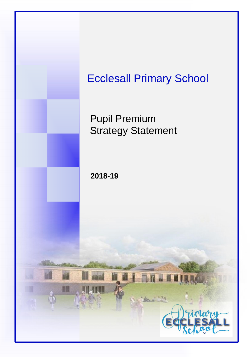

## Ecclesall Primary School

Pupil Premium Strategy Statement

**2018-19**

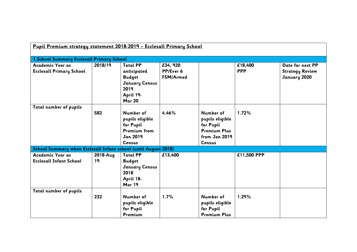| Pupil Premium strategy statement 2018-2019 - Ecclesall Primary School |                |                                                                                                                |                                           |                                                                                                    |                       |                                                            |
|-----------------------------------------------------------------------|----------------|----------------------------------------------------------------------------------------------------------------|-------------------------------------------|----------------------------------------------------------------------------------------------------|-----------------------|------------------------------------------------------------|
| 1. School Summary Ecclesall Primary School                            |                |                                                                                                                |                                           |                                                                                                    |                       |                                                            |
| Academic Year as<br><b>Ecclesall Primary School</b>                   | 2018/19        | <b>Total PP</b><br>anticipated<br><b>Budget</b><br><b>January Census</b><br>2019<br>April 19-<br><b>Mar 20</b> | £34, 920<br>PP/Ever 6<br><b>FSM/Armed</b> |                                                                                                    | £18,400<br><b>PPP</b> | Date for next PP<br><b>Strategy Review</b><br>January 2020 |
| Total number of pupils                                                | 582            | Number of<br>pupils eligible<br>for Pupil<br><b>Premium from</b><br><b>Jan 2019</b><br>Census                  | 4.46%                                     | Number of<br>pupils eligible<br>for Pupil<br><b>Premium Plus</b><br>from Jan 2019<br><b>Census</b> | 1.72%                 |                                                            |
| School Summary when Ecclesall Infant school (until August 2018)       |                |                                                                                                                |                                           |                                                                                                    |                       |                                                            |
| Academic Year as<br><b>Ecclesall Infant School</b>                    | 2018-Aug<br>19 | <b>Total PP</b><br><b>Budget</b><br><b>January Census</b><br>2018<br>April 18-<br>Mar 19                       | £13,400                                   |                                                                                                    | £11,500 PPP           |                                                            |
| Total number of pupils                                                | 232            | Number of<br>pupils eligible<br>for Pupil<br>Premium                                                           | 1.7%                                      | Number of<br>pupils eligible<br>for Pupil<br><b>Premium Plus</b>                                   | 1.29%                 |                                                            |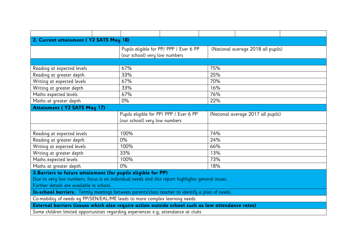| 2. Current attainment (Y2 SATS May 18)                                                           |                                         |  |     |                                    |  |  |
|--------------------------------------------------------------------------------------------------|-----------------------------------------|--|-----|------------------------------------|--|--|
|                                                                                                  | Pupils eligible for PP/ PPP / Ever 6 PP |  |     | (National average 2018 all pupils) |  |  |
|                                                                                                  | (our school) very low numbers           |  |     |                                    |  |  |
|                                                                                                  |                                         |  |     |                                    |  |  |
| Reading at expected levels                                                                       | 67%                                     |  | 75% |                                    |  |  |
| Reading at greater depth                                                                         | 33%                                     |  | 25% |                                    |  |  |
| Writing at expected levels                                                                       | 67%                                     |  | 70% |                                    |  |  |
| Writing at greater depth                                                                         | 33%                                     |  | 16% |                                    |  |  |
| Maths expected levels                                                                            | 67%                                     |  | 76% |                                    |  |  |
| Maths at greater depth                                                                           | 0%                                      |  | 22% |                                    |  |  |
| <b>Attainment (Y2 SATS May 17)</b>                                                               |                                         |  |     |                                    |  |  |
|                                                                                                  | Pupils eligible for PP/ PPP / Ever 6 PP |  |     | (National average 2017 all pupils) |  |  |
|                                                                                                  | (our school) very low numbers           |  |     |                                    |  |  |
|                                                                                                  |                                         |  |     |                                    |  |  |
| Reading at expected levels                                                                       | 100%                                    |  | 74% |                                    |  |  |
| Reading at greater depth                                                                         | 0%                                      |  | 24% |                                    |  |  |
| Writing at expected levels                                                                       | 100%                                    |  | 66% |                                    |  |  |
| Writing at greater depth                                                                         | 33%                                     |  | 13% |                                    |  |  |
| Maths expected levels                                                                            | 100%                                    |  | 73% |                                    |  |  |
| Maths at greater depth                                                                           | 0%                                      |  | 18% |                                    |  |  |
| 3. Barriers to future attainment (for pupils eligible for PP)                                    |                                         |  |     |                                    |  |  |
| Due to very low numbers, focus is on individual needs and this report highlights general issues. |                                         |  |     |                                    |  |  |
| Further details are available in school.                                                         |                                         |  |     |                                    |  |  |
| In-school barriers. Termly meetings between parents/class teacher to identify a plan of needs.   |                                         |  |     |                                    |  |  |
| Co-mobility of needs eq PP/SEN/EAL/ME leads to more complex learning needs.                      |                                         |  |     |                                    |  |  |
| External barriers (issues which also require action outside school such as low attendance rates) |                                         |  |     |                                    |  |  |
| Some children limited opportunities regarding experiences e.g; attendance at clubs               |                                         |  |     |                                    |  |  |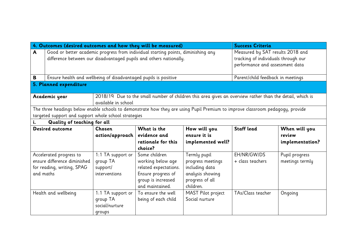|          | 4. Outcomes (desired outcomes and how they will be measured)                                                                   |                                                                                                                                 |                                                                    |                   | <b>Success Criteria</b>             |                 |  |
|----------|--------------------------------------------------------------------------------------------------------------------------------|---------------------------------------------------------------------------------------------------------------------------------|--------------------------------------------------------------------|-------------------|-------------------------------------|-----------------|--|
| A        | Good or better academic progress from individual starting points, diminishing any                                              |                                                                                                                                 | Measured by SAT results 2018 and                                   |                   |                                     |                 |  |
|          |                                                                                                                                |                                                                                                                                 | difference between our disadvantaged pupils and others nationally. |                   | tracking of individuals through our |                 |  |
|          |                                                                                                                                |                                                                                                                                 |                                                                    |                   | performance and assessment data     |                 |  |
|          |                                                                                                                                |                                                                                                                                 |                                                                    |                   |                                     |                 |  |
| B        | Ensure health and wellbeing of disadvantaged pupils is positive                                                                |                                                                                                                                 |                                                                    |                   | Parent/child feedback in meetings   |                 |  |
|          | 5. Planned expenditure                                                                                                         |                                                                                                                                 |                                                                    |                   |                                     |                 |  |
|          | Academic year                                                                                                                  | 2018/19 Due to the small number of children this area gives an overview rather than the detail, which is<br>available in school |                                                                    |                   |                                     |                 |  |
|          | The three headings below enable schools to demonstrate how they are using Pupil Premium to improve classroom pedagogy, provide |                                                                                                                                 |                                                                    |                   |                                     |                 |  |
|          | targeted support and support whole school strategies                                                                           |                                                                                                                                 |                                                                    |                   |                                     |                 |  |
| i.       | Quality of teaching for all                                                                                                    |                                                                                                                                 |                                                                    |                   |                                     |                 |  |
|          | Desired outcome                                                                                                                | <b>Chosen</b>                                                                                                                   | What is the                                                        | How will you      | <b>Staff lead</b>                   | When will you   |  |
|          |                                                                                                                                | action/approach                                                                                                                 | evidence and                                                       | ensure it is      |                                     | review          |  |
|          |                                                                                                                                |                                                                                                                                 | rationale for this                                                 | implemented well? |                                     | implementation? |  |
|          |                                                                                                                                |                                                                                                                                 | choice?                                                            |                   |                                     |                 |  |
|          | Accelerated progress to                                                                                                        | 1:1 TA support or                                                                                                               | Some children                                                      | Termly pupil      | EH/NR/GW/DS                         | Pupil progress  |  |
|          | ensure difference diminished<br>group TA                                                                                       |                                                                                                                                 | working below age                                                  | progress meetings | + class teachers                    | meetings termly |  |
|          | including data<br>related expectations.<br>for reading, writing, SPAG<br>support/                                              |                                                                                                                                 |                                                                    |                   |                                     |                 |  |
|          | and maths<br>Ensure progress of<br>analysis showing<br>interventions                                                           |                                                                                                                                 |                                                                    |                   |                                     |                 |  |
|          |                                                                                                                                |                                                                                                                                 | group is increased                                                 | progress of all   |                                     |                 |  |
|          |                                                                                                                                |                                                                                                                                 | and maintained.                                                    | children.         |                                     |                 |  |
|          | MAST Pilot project<br>Health and wellbeing<br>1:1 TA support or<br>To ensure the well                                          |                                                                                                                                 |                                                                    |                   | TAs/Class teacher                   | Ongoing         |  |
| group TA |                                                                                                                                |                                                                                                                                 | being of each child                                                | Social nurture    |                                     |                 |  |
|          |                                                                                                                                | social/nurture                                                                                                                  |                                                                    |                   |                                     |                 |  |
|          | groups                                                                                                                         |                                                                                                                                 |                                                                    |                   |                                     |                 |  |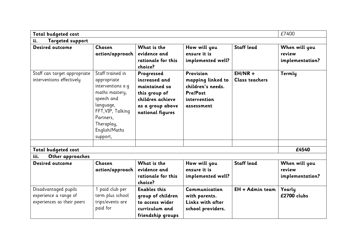| Total budgeted cost                                                         |                                                                                                                                                                                |                                                                                                                           |                                                                                                      |                                    | £7400                                      |  |
|-----------------------------------------------------------------------------|--------------------------------------------------------------------------------------------------------------------------------------------------------------------------------|---------------------------------------------------------------------------------------------------------------------------|------------------------------------------------------------------------------------------------------|------------------------------------|--------------------------------------------|--|
| <b>Targeted support</b><br>ii.                                              |                                                                                                                                                                                |                                                                                                                           |                                                                                                      |                                    |                                            |  |
| Desired outcome                                                             | Chosen<br>action/approach                                                                                                                                                      | What is the<br>evidence and<br>rationale for this<br>choice?                                                              | How will you<br>ensure it is<br>implemented well?                                                    | <b>Staff lead</b>                  | When will you<br>review<br>implementation? |  |
| Staff can target appropriate<br>interventions effectively                   | Staff trained in<br>appropriate<br>interventions e.g<br>maths mastery,<br>speech and<br>language,<br>FFT, VIP, Talking<br>Partners,<br>Theraplay,<br>English/Maths<br>support, | Progressed<br>increased and<br>maintained so<br>this group of<br>children achieve<br>as a group above<br>national figures | Provision<br>mapping linked to<br>children's needs.<br><b>Pre/Post</b><br>intervention<br>assessment | $EH/NR +$<br><b>Class teachers</b> | Termly                                     |  |
| Total budgeted cost                                                         |                                                                                                                                                                                |                                                                                                                           |                                                                                                      |                                    | £4540                                      |  |
| Other approaches<br>iii.                                                    |                                                                                                                                                                                |                                                                                                                           |                                                                                                      |                                    |                                            |  |
| Desired outcome                                                             | Chosen<br>action/approach                                                                                                                                                      | What is the<br>evidence and<br>rationale for this<br>choice?                                                              | How will you<br>ensure it is<br>implemented well?                                                    | <b>Staff lead</b>                  | When will you<br>review<br>implementation? |  |
| Disadvantaged pupils<br>experience a range of<br>experiences as their peers | paid club per<br>term plus school<br>trips/events are<br>paid for                                                                                                              | <b>Enables this</b><br>group of children<br>to access wider<br>curriculum and<br>friendship groups                        | Communication<br>with parents.<br>Links with after<br>school providers.                              | EH + Admin team                    | Yearly<br>£2700 clubs                      |  |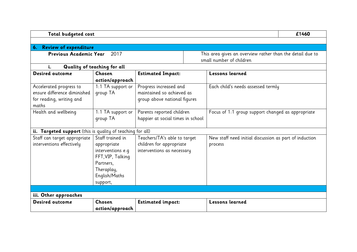| Total budgeted cost                                        |                             |                                   |  |                                                           | £1460 |
|------------------------------------------------------------|-----------------------------|-----------------------------------|--|-----------------------------------------------------------|-------|
|                                                            |                             |                                   |  |                                                           |       |
| 6. Review of expenditure                                   |                             |                                   |  |                                                           |       |
| Previous Academic Year                                     | 2017                        |                                   |  | This area gives an overview rather than the detail due to |       |
|                                                            |                             |                                   |  | small number of children                                  |       |
| i.                                                         | Quality of teaching for all |                                   |  |                                                           |       |
| Desired outcome                                            | Chosen                      | <b>Estimated Impact:</b>          |  | Lessons learned                                           |       |
|                                                            | action/approach             |                                   |  |                                                           |       |
| Accelerated progress to                                    | 1:1 TA support or           | Progress increased and            |  | Each child's needs assessed termly                        |       |
| ensure difference diminished                               | group TA                    | maintained so achieved as         |  |                                                           |       |
| for reading, writing and                                   |                             | group above national figures      |  |                                                           |       |
| maths                                                      |                             |                                   |  |                                                           |       |
| Health and wellbeing                                       | 1:1 TA support or           | Parents reported children         |  | Focus of 1:1 group support changed as appropriate         |       |
|                                                            | group TA                    | happier at social times in school |  |                                                           |       |
|                                                            |                             |                                   |  |                                                           |       |
| ii. Targeted support (this is quality of teaching for all) |                             |                                   |  |                                                           |       |
| Staff can target appropriate                               | Staff trained in            | Teachers/TA's able to target      |  | New staff need initial discussion as part of induction    |       |
| interventions effectively                                  | appropriate                 | children for appropriate          |  | process                                                   |       |
|                                                            | interventions e.q           | interventions as necessary        |  |                                                           |       |
|                                                            | FFT, VIP, Talking           |                                   |  |                                                           |       |
|                                                            | Partners,                   |                                   |  |                                                           |       |
|                                                            | Theraplay,                  |                                   |  |                                                           |       |
|                                                            | English/Maths               |                                   |  |                                                           |       |
|                                                            | support,                    |                                   |  |                                                           |       |
|                                                            |                             |                                   |  |                                                           |       |
| iii. Other approaches<br>Desired outcome                   | Chosen                      |                                   |  | <b>Lessons learned</b>                                    |       |
|                                                            |                             | <b>Estimated impact:</b>          |  |                                                           |       |
|                                                            | action/approach             |                                   |  |                                                           |       |